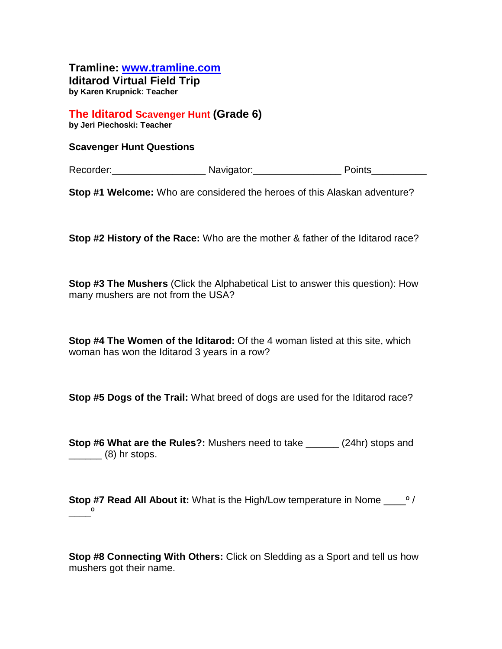**Tramline: www.tramline.com Iditarod Virtual Field Trip by Karen Krupnick: Teacher**

**The Iditarod Scavenger Hunt (Grade 6) by Jeri Piechoski: Teacher**

## **Scavenger Hunt Questions**

Recorder: The Corder Section Navigator: The Points Points

**Stop #1 Welcome:** Who are considered the heroes of this Alaskan adventure?

**Stop #2 History of the Race:** Who are the mother & father of the Iditarod race?

**Stop #3 The Mushers** (Click the Alphabetical List to answer this question): How many mushers are not from the USA?

**Stop #4 The Women of the Iditarod:** Of the 4 woman listed at this site, which woman has won the Iditarod 3 years in a row?

**Stop #5 Dogs of the Trail:** What breed of dogs are used for the Iditarod race?

**Stop #6 What are the Rules?:** Mushers need to take \_\_\_\_\_\_ (24hr) stops and  $\frac{1}{\sqrt{1-\frac{1}{\sqrt{1-\frac{1}{\sqrt{1-\frac{1}{\sqrt{1-\frac{1}{\sqrt{1-\frac{1}{\sqrt{1-\frac{1}{\sqrt{1-\frac{1}{\sqrt{1-\frac{1}{\sqrt{1-\frac{1}{\sqrt{1-\frac{1}{\sqrt{1-\frac{1}{\sqrt{1-\frac{1}{\sqrt{1-\frac{1}{\sqrt{1-\frac{1}{\sqrt{1-\frac{1}{\sqrt{1-\frac{1}{\sqrt{1-\frac{1}{\sqrt{1-\frac{1}{\sqrt{1-\frac{1}{\sqrt{1-\frac{1}{\sqrt{1-\frac{1}{\sqrt{1-\frac{1}{\sqrt{1-\frac{1}{\sqrt{1-\frac{1$ 

**Stop #7 Read All About it:** What is the High/Low temperature in Nome \_\_\_\_º /  $\overline{\phantom{0}}$ 

**Stop #8 Connecting With Others:** Click on Sledding as a Sport and tell us how mushers got their name.